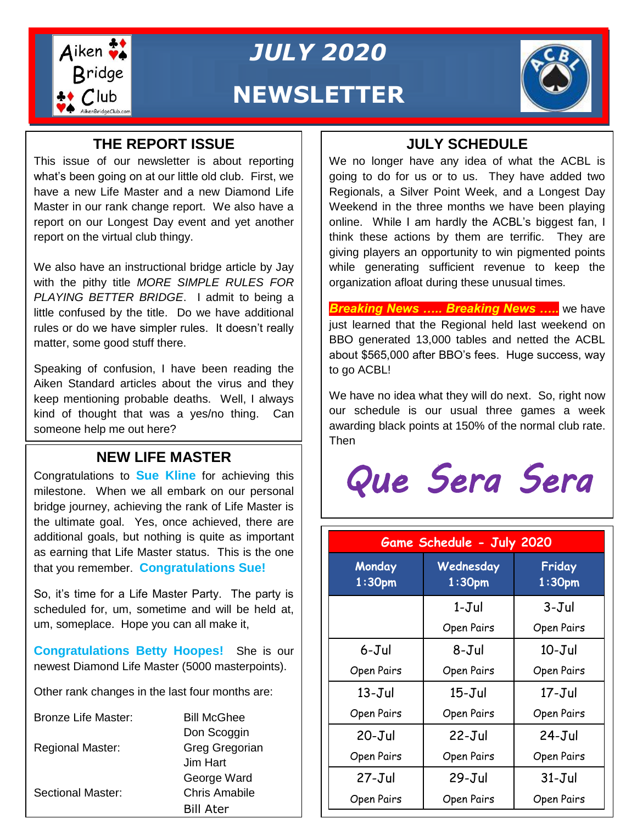

### *JULY 2020*

### **NEWSLETTER**

#### **THE REPORT ISSUE**

This issue of our newsletter is about reporting what's been going on at our little old club. First, we have a new Life Master and a new Diamond Life Master in our rank change report. We also have a report on our Longest Day event and yet another report on the virtual club thingy.

We also have an instructional bridge article by Jay with the pithy title *MORE SIMPLE RULES FOR PLAYING BETTER BRIDGE*. I admit to being a little confused by the title. Do we have additional rules or do we have simpler rules. It doesn't really matter, some good stuff there.

Speaking of confusion, I have been reading the Aiken Standard articles about the virus and they keep mentioning probable deaths. Well, I always kind of thought that was a yes/no thing. Can someone help me out here?

#### **NEW LIFE MASTER**

Congratulations to **Sue Kline** for achieving this milestone. When we all embark on our personal bridge journey, achieving the rank of Life Master is the ultimate goal. Yes, once achieved, there are additional goals, but nothing is quite as important as earning that Life Master status. This is the one that you remember. **Congratulations Sue!**

So, it's time for a Life Master Party. The party is scheduled for, um, sometime and will be held at, um, someplace. Hope you can all make it,

**Congratulations Betty Hoopes!** She is our newest Diamond Life Master (5000 masterpoints).

Other rank changes in the last four months are:

| <b>Bronze Life Master:</b> | <b>Bill McGhee</b>   |
|----------------------------|----------------------|
|                            | Don Scoggin          |
| <b>Regional Master:</b>    | Greg Gregorian       |
|                            | Jim Hart             |
|                            | George Ward          |
| <b>Sectional Master:</b>   | <b>Chris Amabile</b> |
|                            | <b>Bill Ater</b>     |

#### **JULY SCHEDULE**

We no longer have any idea of what the ACBL is going to do for us or to us. They have added two Regionals, a Silver Point Week, and a Longest Day Weekend in the three months we have been playing online. While I am hardly the ACBL's biggest fan, I think these actions by them are terrific. They are giving players an opportunity to win pigmented points while generating sufficient revenue to keep the organization afloat during these unusual times.

*Breaking News ….. Breaking News …..* we have just learned that the Regional held last weekend on BBO generated 13,000 tables and netted the ACBL about \$565,000 after BBO's fees. Huge success, way to go ACBL!

We have no idea what they will do next. So, right now our schedule is our usual three games a week awarding black points at 150% of the normal club rate. Then

# *Que Sera Sera*

| Game Schedule - July 2020    |                                 |                              |  |  |
|------------------------------|---------------------------------|------------------------------|--|--|
| Monday<br>1:30 <sub>pm</sub> | Wednesday<br>1:30 <sub>pm</sub> | Friday<br>1:30 <sub>pm</sub> |  |  |
|                              | $1-Jul$                         | 3-Jul                        |  |  |
|                              | Open Pairs                      | Open Pairs                   |  |  |
| $6 - J$ ul                   | 8-Jul                           | $10 - Jul$                   |  |  |
| Open Pairs                   | Open Pairs                      | Open Pairs                   |  |  |
| $13 - Jul$                   | $15 - Jul$                      | $17 - J$ ul                  |  |  |
| Open Pairs                   | Open Pairs                      | Open Pairs                   |  |  |
| $20 - Jul$                   | $22 - Jul$                      | $24-Jul$                     |  |  |
| Open Pairs                   | Open Pairs                      | Open Pairs                   |  |  |
| $27 - J$ ul                  | $29 - Jul$                      | $31 - Jul$                   |  |  |
| Open Pairs                   | Open Pairs                      | Open Pairs                   |  |  |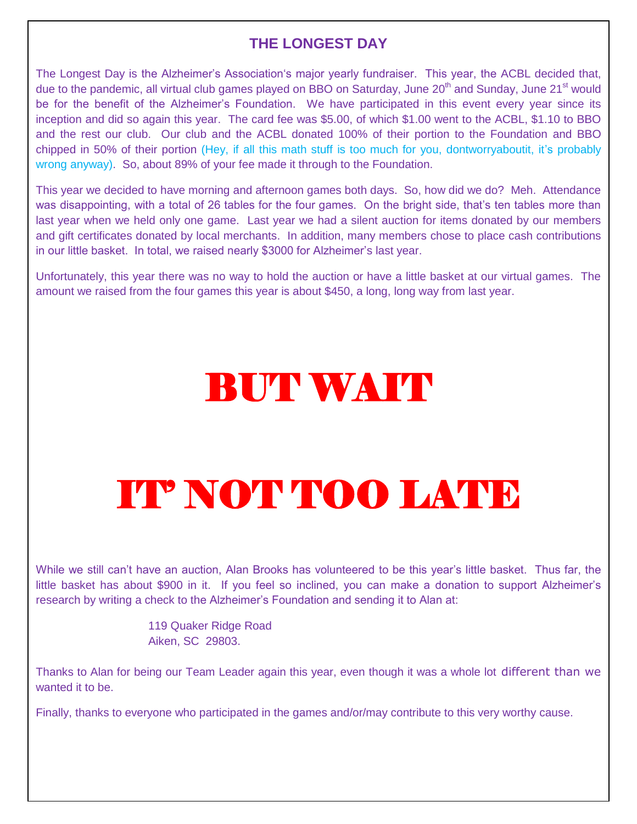#### **THE LONGEST DAY**

The Longest Day is the Alzheimer's Association's major yearly fundraiser. This year, the ACBL decided that, due to the pandemic, all virtual club games played on BBO on Saturday, June 20<sup>th</sup> and Sunday, June 21<sup>st</sup> would be for the benefit of the Alzheimer's Foundation. We have participated in this event every year since its inception and did so again this year. The card fee was \$5.00, of which \$1.00 went to the ACBL, \$1.10 to BBO and the rest our club. Our club and the ACBL donated 100% of their portion to the Foundation and BBO chipped in 50% of their portion (Hey, if all this math stuff is too much for you, dontworryaboutit, it's probably wrong anyway). So, about 89% of your fee made it through to the Foundation.

This year we decided to have morning and afternoon games both days. So, how did we do? Meh. Attendance was disappointing, with a total of 26 tables for the four games. On the bright side, that's ten tables more than last year when we held only one game. Last year we had a silent auction for items donated by our members and gift certificates donated by local merchants. In addition, many members chose to place cash contributions in our little basket. In total, we raised nearly \$3000 for Alzheimer's last year.

Unfortunately, this year there was no way to hold the auction or have a little basket at our virtual games. The amount we raised from the four games this year is about \$450, a long, long way from last year.

## **BUT WAIT**

# IT' NOT TOO LATE

While we still can't have an auction, Alan Brooks has volunteered to be this year's little basket. Thus far, the little basket has about \$900 in it. If you feel so inclined, you can make a donation to support Alzheimer's research by writing a check to the Alzheimer's Foundation and sending it to Alan at:

> 119 Quaker Ridge Road Aiken, SC 29803.

Thanks to Alan for being our Team Leader again this year, even though it was a whole lot different than we wanted it to be.

Finally, thanks to everyone who participated in the games and/or/may contribute to this very worthy cause.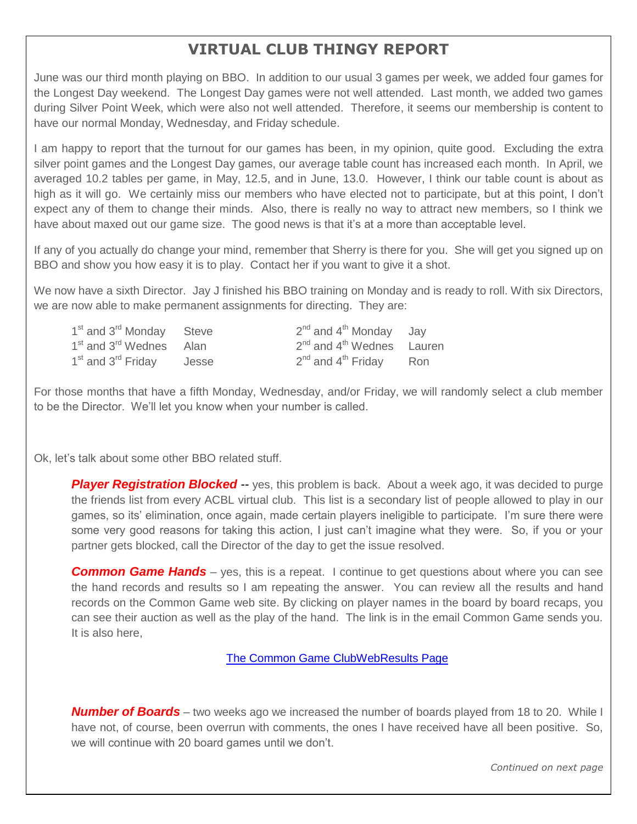#### **VIRTUAL CLUB THINGY REPORT**

June was our third month playing on BBO. In addition to our usual 3 games per week, we added four games for the Longest Day weekend. The Longest Day games were not well attended. Last month, we added two games during Silver Point Week, which were also not well attended. Therefore, it seems our membership is content to have our normal Monday, Wednesday, and Friday schedule.

I am happy to report that the turnout for our games has been, in my opinion, quite good. Excluding the extra silver point games and the Longest Day games, our average table count has increased each month. In April, we averaged 10.2 tables per game, in May, 12.5, and in June, 13.0. However, I think our table count is about as high as it will go. We certainly miss our members who have elected not to participate, but at this point, I don't expect any of them to change their minds. Also, there is really no way to attract new members, so I think we have about maxed out our game size. The good news is that it's at a more than acceptable level.

If any of you actually do change your mind, remember that Sherry is there for you. She will get you signed up on BBO and show you how easy it is to play. Contact her if you want to give it a shot.

We now have a sixth Director. Jay J finished his BBO training on Monday and is ready to roll. With six Directors, we are now able to make permanent assignments for directing. They are:

| 1 <sup>st</sup> and 3 <sup>rd</sup> Monday Steve |       | $2^{nd}$ and $4^{th}$ Monday Jay                  |  |
|--------------------------------------------------|-------|---------------------------------------------------|--|
| 1 <sup>st</sup> and 3 <sup>rd</sup> Wednes Alan  |       | 2 <sup>nd</sup> and 4 <sup>th</sup> Wednes Lauren |  |
| 1 <sup>st</sup> and 3 <sup>rd</sup> Friday       | Jesse | $2^{nd}$ and $4^{th}$ Friday Ron                  |  |

For those months that have a fifth Monday, Wednesday, and/or Friday, we will randomly select a club member to be the Director. We'll let you know when your number is called.

Ok, let's talk about some other BBO related stuff.

-

**Player Registration Blocked** -- yes, this problem is back. About a week ago, it was decided to purge the friends list from every ACBL virtual club. This list is a secondary list of people allowed to play in our games, so its' elimination, once again, made certain players ineligible to participate. I'm sure there were some very good reasons for taking this action, I just can't imagine what they were. So, if you or your partner gets blocked, call the Director of the day to get the issue resolved.

**Common Game Hands** – yes, this is a repeat. I continue to get questions about where you can see the hand records and results so I am repeating the answer. You can review all the results and hand records on the Common Game web site. By clicking on player names in the board by board recaps, you can see their auction as well as the play of the hand. The link is in the email Common Game sends you. It is also here,

[The Common Game ClubWebResults Page](https://tcgcloud.bridgefinesse.com/ClubWebHost/146233/) 

*Number of Boards* – two weeks ago we increased the number of boards played from 18 to 20. While I have not, of course, been overrun with comments, the ones I have received have all been positive. So, we will continue with 20 board games until we don't.

*Continued on next page*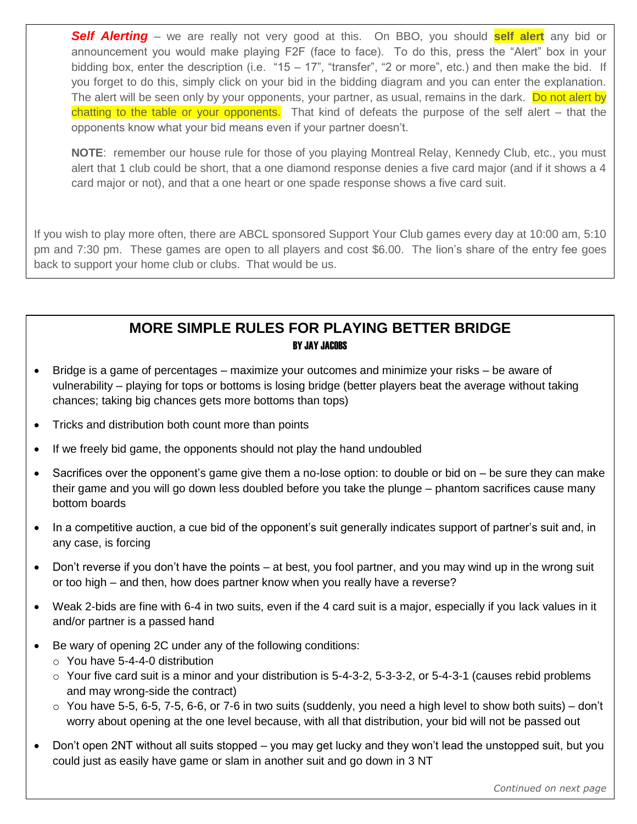*Self Alerting* – we are really not very good at this. On BBO, you should **self alert** any bid or announcement you would make playing F2F (face to face). To do this, press the "Alert" box in your bidding box, enter the description (i.e. "15 – 17", "transfer", "2 or more", etc.) and then make the bid. If you forget to do this, simply click on your bid in the bidding diagram and you can enter the explanation. The alert will be seen only by your opponents, your partner, as usual, remains in the dark. Do not alert by chatting to the table or your opponents. That kind of defeats the purpose of the self alert – that the opponents know what your bid means even if your partner doesn't.

**NOTE**: remember our house rule for those of you playing Montreal Relay, Kennedy Club, etc., you must alert that 1 club could be short, that a one diamond response denies a five card major (and if it shows a 4 card major or not), and that a one heart or one spade response shows a five card suit.

If you wish to play more often, there are ABCL sponsored Support Your Club games every day at 10:00 am, 5:10 pm and 7:30 pm. These games are open to all players and cost \$6.00. The lion's share of the entry fee goes back to support your home club or clubs. That would be us.

#### **MORE SIMPLE RULES FOR PLAYING BETTER BRIDGE** BY JAY JACOBS

- Bridge is a game of percentages maximize your outcomes and minimize your risks be aware of vulnerability – playing for tops or bottoms is losing bridge (better players beat the average without taking chances; taking big chances gets more bottoms than tops)
- Tricks and distribution both count more than points
- If we freely bid game, the opponents should not play the hand undoubled
- **Falling Down Bridge** their game and you will go down less doubled before you take the plunge phantom sacrifices cause many Sacrifices over the opponent's game give them a no-lose option: to double or bid on – be sure they can make bottom boards
- In a competitive auction, a cue bid of the opponent's suit generally indicates support of partner's suit and, in any case, is forcing
- Don't reverse if you don't have the points at best, you fool partner, and you may wind up in the wrong suit or too high – and then, how does partner know when you really have a reverse?
- Weak 2-bids are fine with 6-4 in two suits, even if the 4 card suit is a major, especially if you lack values in it and/or partner is a passed hand
- Be wary of opening 2C under any of the following conditions:
	- o You have 5-4-4-0 distribution
	- $\circ$  Your five card suit is a minor and your distribution is 5-4-3-2, 5-3-3-2, or 5-4-3-1 (causes rebid problems and may wrong-side the contract)
	- o You have 5-5, 6-5, 7-5, 6-6, or 7-6 in two suits (suddenly, you need a high level to show both suits) don't worry about opening at the one level because, with all that distribution, your bid will not be passed out
- Don't open 2NT without all suits stopped you may get lucky and they won't lead the unstopped suit, but you could just as easily have game or slam in another suit and go down in 3 NT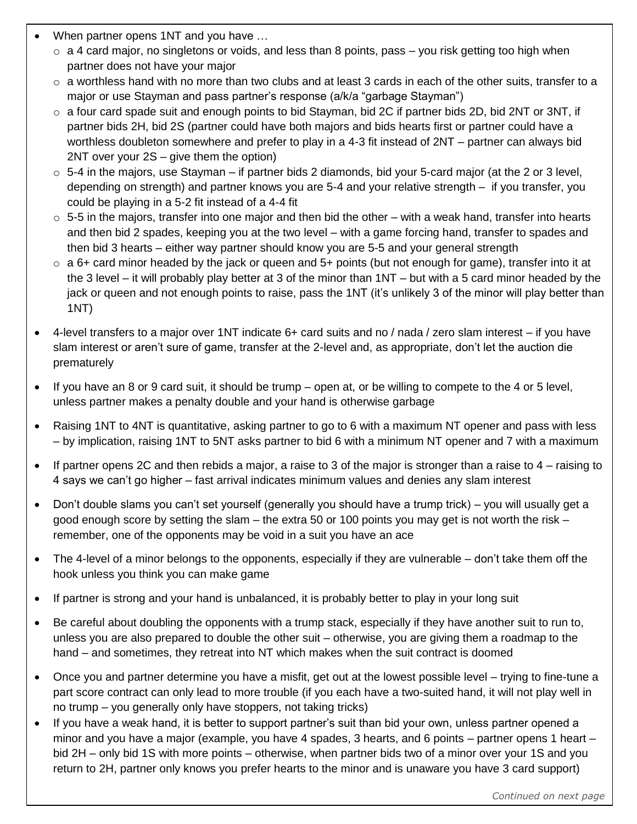- When partner opens 1NT and you have …
	- $\circ$  a 4 card major, no singletons or voids, and less than 8 points, pass you risk getting too high when partner does not have your major
	- $\circ$  a worthless hand with no more than two clubs and at least 3 cards in each of the other suits, transfer to a major or use Stayman and pass partner's response (a/k/a "garbage Stayman")
	- $\circ$  a four card spade suit and enough points to bid Stayman, bid 2C if partner bids 2D, bid 2NT or 3NT, if partner bids 2H, bid 2S (partner could have both majors and bids hearts first or partner could have a worthless doubleton somewhere and prefer to play in a 4-3 fit instead of 2NT – partner can always bid 2NT over your 2S – give them the option)
	- $\circ$  5-4 in the majors, use Stayman if partner bids 2 diamonds, bid your 5-card major (at the 2 or 3 level, depending on strength) and partner knows you are 5-4 and your relative strength – if you transfer, you could be playing in a 5-2 fit instead of a 4-4 fit
	- $\circ$  5-5 in the majors, transfer into one major and then bid the other with a weak hand, transfer into hearts and then bid 2 spades, keeping you at the two level – with a game forcing hand, transfer to spades and then bid 3 hearts – either way partner should know you are 5-5 and your general strength
	- $\circ$  a 6+ card minor headed by the jack or queen and 5+ points (but not enough for game), transfer into it at the 3 level – it will probably play better at 3 of the minor than 1NT – but with a 5 card minor headed by the jack or queen and not enough points to raise, pass the 1NT (it's unlikely 3 of the minor will play better than 1NT)
- 4-level transfers to a major over 1NT indicate 6+ card suits and no / nada / zero slam interest if you have slam interest or aren't sure of game, transfer at the 2-level and, as appropriate, don't let the auction die prematurely
- If you have an 8 or 9 card suit, it should be trump open at, or be willing to compete to the 4 or 5 level, unless partner makes a penalty double and your hand is otherwise garbage
- Raising 1NT to 4NT is quantitative, asking partner to go to 6 with a maximum NT opener and pass with less – by implication, raising 1NT to 5NT asks partner to bid 6 with a minimum NT opener and 7 with a maximum
- If partner opens 2C and then rebids a major, a raise to 3 of the major is stronger than a raise to  $4$  raising to 4 says we can't go higher – fast arrival indicates minimum values and denies any slam interest
- Don't double slams you can't set yourself (generally you should have a trump trick) you will usually get a good enough score by setting the slam – the extra 50 or 100 points you may get is not worth the risk – remember, one of the opponents may be void in a suit you have an ace
- The 4-level of a minor belongs to the opponents, especially if they are vulnerable don't take them off the hook unless you think you can make game
- If partner is strong and your hand is unbalanced, it is probably better to play in your long suit
- Be careful about doubling the opponents with a trump stack, especially if they have another suit to run to, unless you are also prepared to double the other suit – otherwise, you are giving them a roadmap to the hand – and sometimes, they retreat into NT which makes when the suit contract is doomed
- Once you and partner determine you have a misfit, get out at the lowest possible level trying to fine-tune a part score contract can only lead to more trouble (if you each have a two-suited hand, it will not play well in no trump – you generally only have stoppers, not taking tricks)
- If you have a weak hand, it is better to support partner's suit than bid your own, unless partner opened a minor and you have a major (example, you have 4 spades, 3 hearts, and 6 points – partner opens 1 heart – bid 2H – only bid 1S with more points – otherwise, when partner bids two of a minor over your 1S and you return to 2H, partner only knows you prefer hearts to the minor and is unaware you have 3 card support)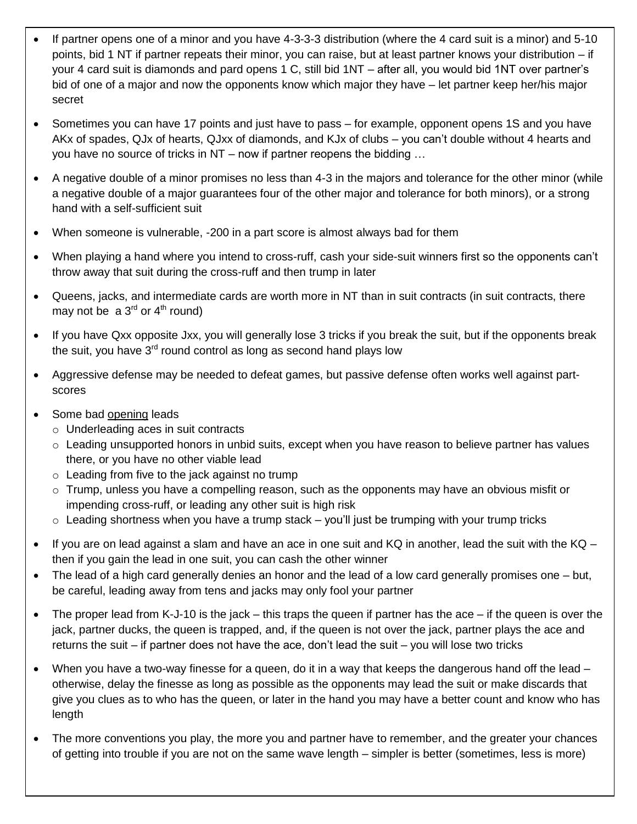- If partner opens one of a minor and you have 4-3-3-3 distribution (where the 4 card suit is a minor) and 5-10 points, bid 1 NT if partner repeats their minor, you can raise, but at least partner knows your distribution – if your 4 card suit is diamonds and pard opens 1 C, still bid 1NT – after all, you would bid 1NT over partner's bid of one of a major and now the opponents know which major they have – let partner keep her/his major secret
- Sometimes you can have 17 points and just have to pass for example, opponent opens 1S and you have AKx of spades, QJx of hearts, QJxx of diamonds, and KJx of clubs – you can't double without 4 hearts and you have no source of tricks in NT – now if partner reopens the bidding …
- A negative double of a minor promises no less than 4-3 in the majors and tolerance for the other minor (while a negative double of a major guarantees four of the other major and tolerance for both minors), or a strong hand with a self-sufficient suit
- When someone is vulnerable, -200 in a part score is almost always bad for them
- When playing a hand where you intend to cross-ruff, cash your side-suit winners first so the opponents can't throw away that suit during the cross-ruff and then trump in later
- Queens, jacks, and intermediate cards are worth more in NT than in suit contracts (in suit contracts, there may not be a  $3^{rd}$  or  $4^{th}$  round)
- If you have Qxx opposite Jxx, you will generally lose 3 tricks if you break the suit, but if the opponents break the suit, you have  $3<sup>rd</sup>$  round control as long as second hand plays low
- Aggressive defense may be needed to defeat games, but passive defense often works well against partscores
- Some bad opening leads
	- o Underleading aces in suit contracts
	- $\circ$  Leading unsupported honors in unbid suits, except when you have reason to believe partner has values there, or you have no other viable lead
	- o Leading from five to the jack against no trump
	- $\circ$  Trump, unless you have a compelling reason, such as the opponents may have an obvious misfit or impending cross-ruff, or leading any other suit is high risk
	- $\circ$  Leading shortness when you have a trump stack you'll just be trumping with your trump tricks
- $\bullet$  If you are on lead against a slam and have an ace in one suit and KQ in another, lead the suit with the KQ then if you gain the lead in one suit, you can cash the other winner
- The lead of a high card generally denies an honor and the lead of a low card generally promises one but, be careful, leading away from tens and jacks may only fool your partner
- The proper lead from K-J-10 is the jack this traps the queen if partner has the ace if the queen is over the jack, partner ducks, the queen is trapped, and, if the queen is not over the jack, partner plays the ace and returns the suit – if partner does not have the ace, don't lead the suit – you will lose two tricks
- When you have a two-way finesse for a queen, do it in a way that keeps the dangerous hand off the lead otherwise, delay the finesse as long as possible as the opponents may lead the suit or make discards that give you clues as to who has the queen, or later in the hand you may have a better count and know who has length
- The more conventions you play, the more you and partner have to remember, and the greater your chances of getting into trouble if you are not on the same wave length – simpler is better (sometimes, less is more)